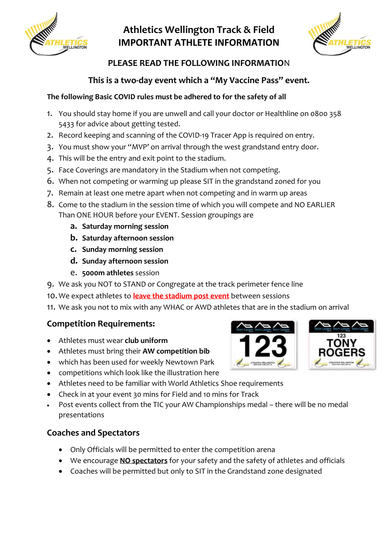

# **Athletics Wellington Track & Field IMPORTANT ATHLETE INFORMATION**



## **PLEASE READ THE FOLLOWING INFORMATIO**N

### **This is a two-day event which a "My Vaccine Pass" event.**

#### **The following Basic COVID rules must be adhered to for the safety of all**

- 1. You should stay home if you are unwell and call your doctor or Healthline on 0800 358 5433 for advice about getting tested.
- 2. Record keeping and scanning of the COVID-19 Tracer App is required on entry.
- 3. You must show your "MVP' on arrival through the west grandstand entry door.
- 4. This will be the entry and exit point to the stadium.
- 5. Face Coverings are mandatory in the Stadium when not competing.
- 6. When not competing or warming up please SIT in the grandstand zoned for you
- 7. Remain at least one metre apart when not competing and in warm up areas
- 8. Come to the stadium in the session time of which you will compete and NO EARLIER Than ONE HOUR before your EVENT. Session groupings are
	- **a. Saturday morning session**
	- **b. Saturday afternoon session**
	- **c. Sunday morning session**
	- **d. Sunday afternoon session**
	- e. **5000m athletes** session
- 9. We ask you NOT to STAND or Congregate at the track perimeter fence line
- 10. We expect athletes to **leave the stadium post event** between sessions
- 11. We ask you not to mix with any WHAC or AWD athletes that are in the stadium on arrival

### **Competition Requirements:**

- Athletes must wear **club uniform**
- Athletes must bring their **AW competition bib**
- which has been used for weekly Newtown Park
- competitions which look like the illustration here
- Athletes need to be familiar with World Athletics Shoe requirements
- Check in at your event 30 mins for Field and 10 mins for Track
- Post events collect from the TIC your AW Championships medal there will be no medal presentations

### **Coaches and Spectators**

- Only Officials will be permitted to enter the competition arena
- We encourage **NO spectators** for your safety and the safety of athletes and officials
- Coaches will be permitted but only to SIT in the Grandstand zone designated